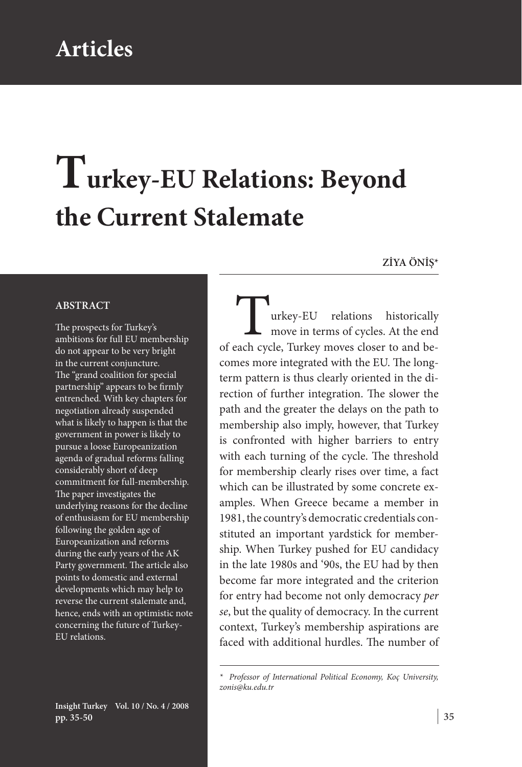## **Articles**

# **Turkey-EU Relations: Beyond the Current Stalemate**

**ZİYA ÖNİŞ\***

#### **ABSTRACT**

The prospects for Turkey's ambitions for full EU membership do not appear to be very bright in the current conjuncture. The "grand coalition for special partnership" appears to be firmly entrenched. With key chapters for negotiation already suspended what is likely to happen is that the government in power is likely to pursue a loose Europeanization agenda of gradual reforms falling considerably short of deep commitment for full-membership. The paper investigates the underlying reasons for the decline of enthusiasm for EU membership following the golden age of Europeanization and reforms during the early years of the AK Party government. The article also points to domestic and external developments which may help to reverse the current stalemate and, hence, ends with an optimistic note concerning the future of Turkey-EU relations.

urkey-EU relations historically move in terms of cycles. At the end of each cycle, Turkey moves closer to and becomes more integrated with the EU. The longterm pattern is thus clearly oriented in the direction of further integration. The slower the path and the greater the delays on the path to membership also imply, however, that Turkey is confronted with higher barriers to entry with each turning of the cycle. The threshold for membership clearly rises over time, a fact which can be illustrated by some concrete examples. When Greece became a member in 1981, the country's democratic credentials constituted an important yardstick for membership. When Turkey pushed for EU candidacy in the late 1980s and '90s, the EU had by then become far more integrated and the criterion for entry had become not only democracy *per se*, but the quality of democracy. In the current context, Turkey's membership aspirations are faced with additional hurdles. The number of

*<sup>\*</sup> Professor of International Political Economy, Koç University, zonis@ku.edu.tr*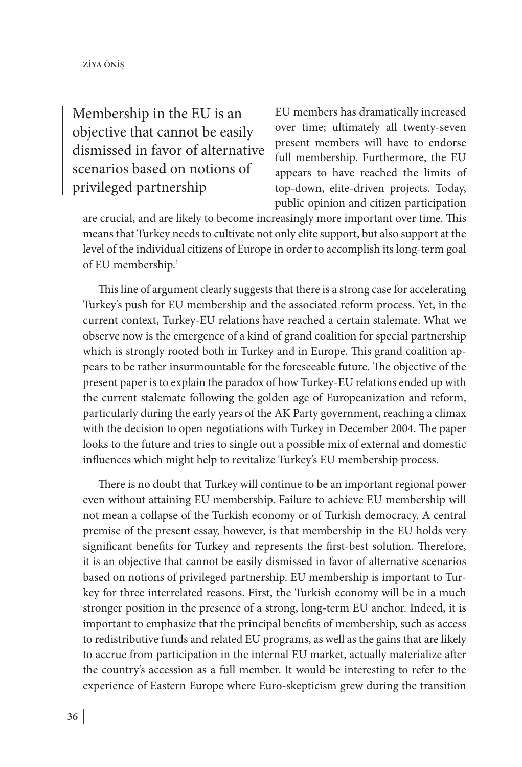Membership in the EU is an objective that cannot be easily dismissed in favor of alternative scenarios based on notions of privileged partnership

EU members has dramatically increased over time; ultimately all twenty-seven present members will have to endorse full membership. Furthermore, the EU appears to have reached the limits of top-down, elite-driven projects. Today, public opinion and citizen participation

are crucial, and are likely to become increasingly more important over time. This means that Turkey needs to cultivate not only elite support, but also support at the level of the individual citizens of Europe in order to accomplish its long-term goal of EU membership.1

This line of argument clearly suggests that there is a strong case for accelerating Turkey's push for EU membership and the associated reform process. Yet, in the current context, Turkey-EU relations have reached a certain stalemate. What we observe now is the emergence of a kind of grand coalition for special partnership which is strongly rooted both in Turkey and in Europe. This grand coalition appears to be rather insurmountable for the foreseeable future. The objective of the present paper is to explain the paradox of how Turkey-EU relations ended up with the current stalemate following the golden age of Europeanization and reform, particularly during the early years of the AK Party government, reaching a climax with the decision to open negotiations with Turkey in December 2004. The paper looks to the future and tries to single out a possible mix of external and domestic influences which might help to revitalize Turkey's EU membership process.

There is no doubt that Turkey will continue to be an important regional power even without attaining EU membership. Failure to achieve EU membership will not mean a collapse of the Turkish economy or of Turkish democracy. A central premise of the present essay, however, is that membership in the EU holds very significant benefits for Turkey and represents the first-best solution. Therefore, it is an objective that cannot be easily dismissed in favor of alternative scenarios based on notions of privileged partnership. EU membership is important to Turkey for three interrelated reasons. First, the Turkish economy will be in a much stronger position in the presence of a strong, long-term EU anchor. Indeed, it is important to emphasize that the principal benefits of membership, such as access to redistributive funds and related EU programs, as well as the gains that are likely to accrue from participation in the internal EU market, actually materialize after the country's accession as a full member. It would be interesting to refer to the experience of Eastern Europe where Euro-skepticism grew during the transition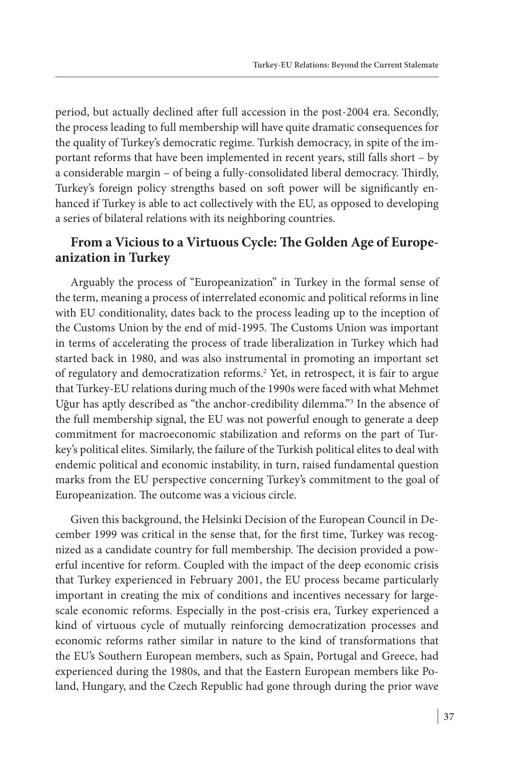period, but actually declined after full accession in the post-2004 era. Secondly, the process leading to full membership will have quite dramatic consequences for the quality of Turkey's democratic regime. Turkish democracy, in spite of the important reforms that have been implemented in recent years, still falls short – by a considerable margin – of being a fully-consolidated liberal democracy. Thirdly, Turkey's foreign policy strengths based on soft power will be significantly enhanced if Turkey is able to act collectively with the EU, as opposed to developing a series of bilateral relations with its neighboring countries.

#### **From a Vicious to a Virtuous Cycle: The Golden Age of Europeanization in Turkey**

Arguably the process of "Europeanization" in Turkey in the formal sense of the term, meaning a process of interrelated economic and political reforms in line with EU conditionality, dates back to the process leading up to the inception of the Customs Union by the end of mid-1995. The Customs Union was important in terms of accelerating the process of trade liberalization in Turkey which had started back in 1980, and was also instrumental in promoting an important set of regulatory and democratization reforms.<sup>2</sup> Yet, in retrospect, it is fair to argue that Turkey-EU relations during much of the 1990s were faced with what Mehmet Uğur has aptly described as "the anchor-credibility dilemma."3 In the absence of the full membership signal, the EU was not powerful enough to generate a deep commitment for macroeconomic stabilization and reforms on the part of Turkey's political elites. Similarly, the failure of the Turkish political elites to deal with endemic political and economic instability, in turn, raised fundamental question marks from the EU perspective concerning Turkey's commitment to the goal of Europeanization. The outcome was a vicious circle.

Given this background, the Helsinki Decision of the European Council in December 1999 was critical in the sense that, for the first time, Turkey was recognized as a candidate country for full membership. The decision provided a powerful incentive for reform. Coupled with the impact of the deep economic crisis that Turkey experienced in February 2001, the EU process became particularly important in creating the mix of conditions and incentives necessary for largescale economic reforms. Especially in the post-crisis era, Turkey experienced a kind of virtuous cycle of mutually reinforcing democratization processes and economic reforms rather similar in nature to the kind of transformations that the EU's Southern European members, such as Spain, Portugal and Greece, had experienced during the 1980s, and that the Eastern European members like Poland, Hungary, and the Czech Republic had gone through during the prior wave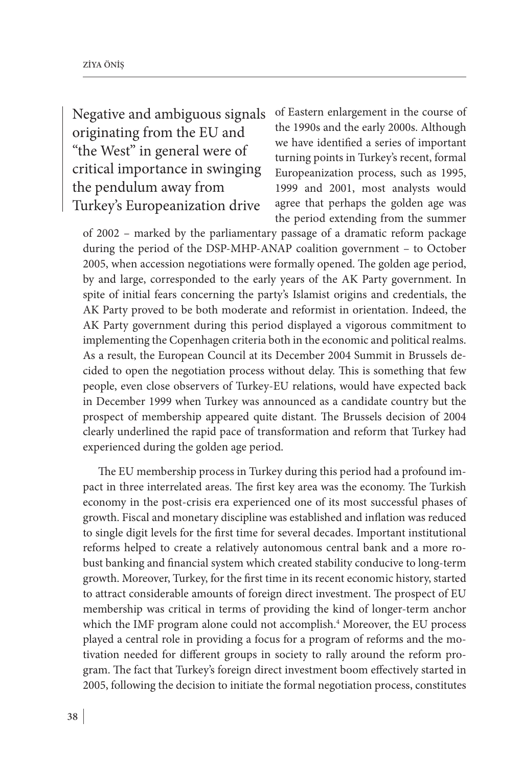Negative and ambiguous signals originating from the EU and "the West" in general were of critical importance in swinging the pendulum away from Turkey's Europeanization drive

of Eastern enlargement in the course of the 1990s and the early 2000s. Although we have identified a series of important turning points in Turkey's recent, formal Europeanization process, such as 1995, 1999 and 2001, most analysts would agree that perhaps the golden age was the period extending from the summer

of 2002 – marked by the parliamentary passage of a dramatic reform package during the period of the DSP-MHP-ANAP coalition government – to October 2005, when accession negotiations were formally opened. The golden age period, by and large, corresponded to the early years of the AK Party government. In spite of initial fears concerning the party's Islamist origins and credentials, the AK Party proved to be both moderate and reformist in orientation. Indeed, the AK Party government during this period displayed a vigorous commitment to implementing the Copenhagen criteria both in the economic and political realms. As a result, the European Council at its December 2004 Summit in Brussels decided to open the negotiation process without delay. This is something that few people, even close observers of Turkey-EU relations, would have expected back in December 1999 when Turkey was announced as a candidate country but the prospect of membership appeared quite distant. The Brussels decision of 2004 clearly underlined the rapid pace of transformation and reform that Turkey had experienced during the golden age period.

The EU membership process in Turkey during this period had a profound impact in three interrelated areas. The first key area was the economy. The Turkish economy in the post-crisis era experienced one of its most successful phases of growth. Fiscal and monetary discipline was established and inflation was reduced to single digit levels for the first time for several decades. Important institutional reforms helped to create a relatively autonomous central bank and a more robust banking and financial system which created stability conducive to long-term growth. Moreover, Turkey, for the first time in its recent economic history, started to attract considerable amounts of foreign direct investment. The prospect of EU membership was critical in terms of providing the kind of longer-term anchor which the IMF program alone could not accomplish.4 Moreover, the EU process played a central role in providing a focus for a program of reforms and the motivation needed for different groups in society to rally around the reform program. The fact that Turkey's foreign direct investment boom effectively started in 2005, following the decision to initiate the formal negotiation process, constitutes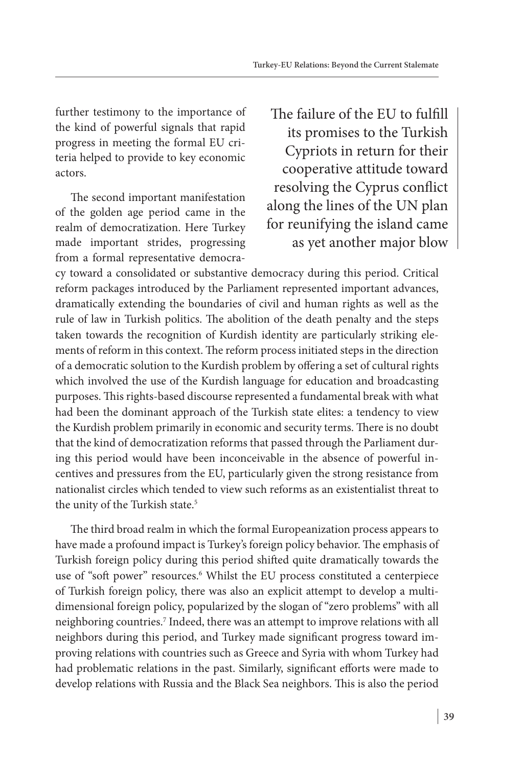further testimony to the importance of the kind of powerful signals that rapid progress in meeting the formal EU criteria helped to provide to key economic actors.

The second important manifestation of the golden age period came in the realm of democratization. Here Turkey made important strides, progressing from a formal representative democra-

The failure of the EU to fulfill its promises to the Turkish Cypriots in return for their cooperative attitude toward resolving the Cyprus conflict along the lines of the UN plan for reunifying the island came as yet another major blow

cy toward a consolidated or substantive democracy during this period. Critical reform packages introduced by the Parliament represented important advances, dramatically extending the boundaries of civil and human rights as well as the rule of law in Turkish politics. The abolition of the death penalty and the steps taken towards the recognition of Kurdish identity are particularly striking elements of reform in this context. The reform process initiated steps in the direction of a democratic solution to the Kurdish problem by offering a set of cultural rights which involved the use of the Kurdish language for education and broadcasting purposes. This rights-based discourse represented a fundamental break with what had been the dominant approach of the Turkish state elites: a tendency to view the Kurdish problem primarily in economic and security terms. There is no doubt that the kind of democratization reforms that passed through the Parliament during this period would have been inconceivable in the absence of powerful incentives and pressures from the EU, particularly given the strong resistance from nationalist circles which tended to view such reforms as an existentialist threat to the unity of the Turkish state.<sup>5</sup>

The third broad realm in which the formal Europeanization process appears to have made a profound impact is Turkey's foreign policy behavior. The emphasis of Turkish foreign policy during this period shifted quite dramatically towards the use of "soft power" resources.<sup>6</sup> Whilst the EU process constituted a centerpiece of Turkish foreign policy, there was also an explicit attempt to develop a multidimensional foreign policy, popularized by the slogan of "zero problems" with all neighboring countries.7 Indeed, there was an attempt to improve relations with all neighbors during this period, and Turkey made significant progress toward improving relations with countries such as Greece and Syria with whom Turkey had had problematic relations in the past. Similarly, significant efforts were made to develop relations with Russia and the Black Sea neighbors. This is also the period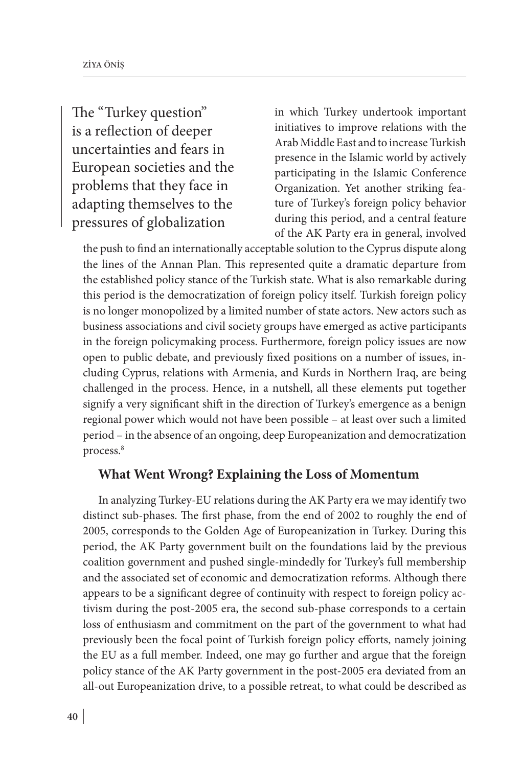The "Turkey question" is a reflection of deeper uncertainties and fears in European societies and the problems that they face in adapting themselves to the pressures of globalization

in which Turkey undertook important initiatives to improve relations with the Arab Middle East and to increase Turkish presence in the Islamic world by actively participating in the Islamic Conference Organization. Yet another striking feature of Turkey's foreign policy behavior during this period, and a central feature of the AK Party era in general, involved

the push to find an internationally acceptable solution to the Cyprus dispute along the lines of the Annan Plan. This represented quite a dramatic departure from the established policy stance of the Turkish state. What is also remarkable during this period is the democratization of foreign policy itself. Turkish foreign policy is no longer monopolized by a limited number of state actors. New actors such as business associations and civil society groups have emerged as active participants in the foreign policymaking process. Furthermore, foreign policy issues are now open to public debate, and previously fixed positions on a number of issues, including Cyprus, relations with Armenia, and Kurds in Northern Iraq, are being challenged in the process. Hence, in a nutshell, all these elements put together signify a very significant shift in the direction of Turkey's emergence as a benign regional power which would not have been possible – at least over such a limited period – in the absence of an ongoing, deep Europeanization and democratization process.8

#### **What Went Wrong? Explaining the Loss of Momentum**

In analyzing Turkey-EU relations during the AK Party era we may identify two distinct sub-phases. The first phase, from the end of 2002 to roughly the end of 2005, corresponds to the Golden Age of Europeanization in Turkey. During this period, the AK Party government built on the foundations laid by the previous coalition government and pushed single-mindedly for Turkey's full membership and the associated set of economic and democratization reforms. Although there appears to be a significant degree of continuity with respect to foreign policy activism during the post-2005 era, the second sub-phase corresponds to a certain loss of enthusiasm and commitment on the part of the government to what had previously been the focal point of Turkish foreign policy efforts, namely joining the EU as a full member. Indeed, one may go further and argue that the foreign policy stance of the AK Party government in the post-2005 era deviated from an all-out Europeanization drive, to a possible retreat, to what could be described as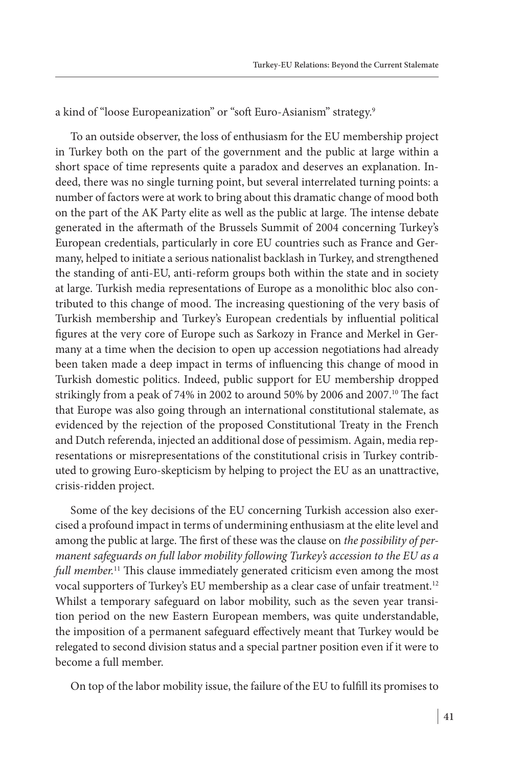a kind of "loose Europeanization" or "soft Euro-Asianism" strategy.<sup>9</sup>

To an outside observer, the loss of enthusiasm for the EU membership project in Turkey both on the part of the government and the public at large within a short space of time represents quite a paradox and deserves an explanation. Indeed, there was no single turning point, but several interrelated turning points: a number of factors were at work to bring about this dramatic change of mood both on the part of the AK Party elite as well as the public at large. The intense debate generated in the aftermath of the Brussels Summit of 2004 concerning Turkey's European credentials, particularly in core EU countries such as France and Germany, helped to initiate a serious nationalist backlash in Turkey, and strengthened the standing of anti-EU, anti-reform groups both within the state and in society at large. Turkish media representations of Europe as a monolithic bloc also contributed to this change of mood. The increasing questioning of the very basis of Turkish membership and Turkey's European credentials by influential political figures at the very core of Europe such as Sarkozy in France and Merkel in Germany at a time when the decision to open up accession negotiations had already been taken made a deep impact in terms of influencing this change of mood in Turkish domestic politics. Indeed, public support for EU membership dropped strikingly from a peak of 74% in 2002 to around 50% by 2006 and 2007.<sup>10</sup> The fact that Europe was also going through an international constitutional stalemate, as evidenced by the rejection of the proposed Constitutional Treaty in the French and Dutch referenda, injected an additional dose of pessimism. Again, media representations or misrepresentations of the constitutional crisis in Turkey contributed to growing Euro-skepticism by helping to project the EU as an unattractive, crisis-ridden project.

Some of the key decisions of the EU concerning Turkish accession also exercised a profound impact in terms of undermining enthusiasm at the elite level and among the public at large. The first of these was the clause on *the possibility of permanent safeguards on full labor mobility following Turkey's accession to the EU as a full member.*11 This clause immediately generated criticism even among the most vocal supporters of Turkey's EU membership as a clear case of unfair treatment.<sup>12</sup> Whilst a temporary safeguard on labor mobility, such as the seven year transition period on the new Eastern European members, was quite understandable, the imposition of a permanent safeguard effectively meant that Turkey would be relegated to second division status and a special partner position even if it were to become a full member.

On top of the labor mobility issue, the failure of the EU to fulfill its promises to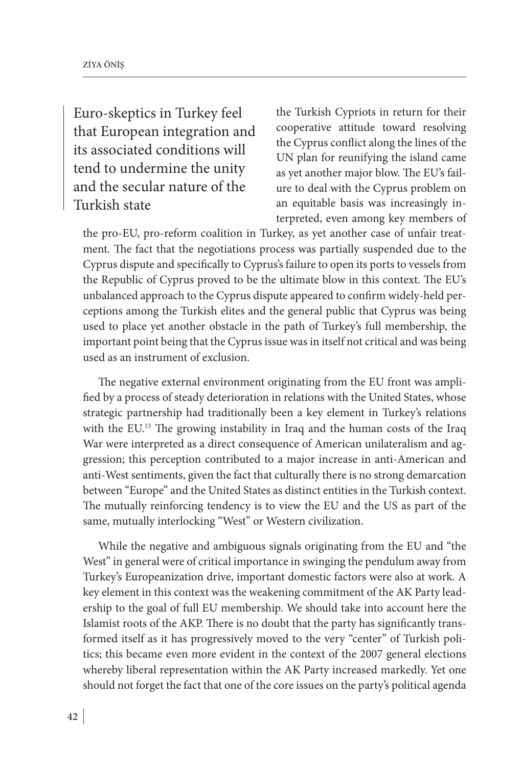Euro-skeptics in Turkey feel that European integration and its associated conditions will tend to undermine the unity and the secular nature of the Turkish state

the Turkish Cypriots in return for their cooperative attitude toward resolving the Cyprus conflict along the lines of the UN plan for reunifying the island came as yet another major blow. The EU's failure to deal with the Cyprus problem on an equitable basis was increasingly interpreted, even among key members of

the pro-EU, pro-reform coalition in Turkey, as yet another case of unfair treatment*.* The fact that the negotiations process was partially suspended due to the Cyprus dispute and specifically to Cyprus's failure to open its ports to vessels from the Republic of Cyprus proved to be the ultimate blow in this context. The EU's unbalanced approach to the Cyprus dispute appeared to confirm widely-held perceptions among the Turkish elites and the general public that Cyprus was being used to place yet another obstacle in the path of Turkey's full membership, the important point being that the Cyprus issue was in itself not critical and was being used as an instrument of exclusion.

The negative external environment originating from the EU front was amplified by a process of steady deterioration in relations with the United States, whose strategic partnership had traditionally been a key element in Turkey's relations with the EU.<sup>13</sup> The growing instability in Iraq and the human costs of the Iraq War were interpreted as a direct consequence of American unilateralism and aggression; this perception contributed to a major increase in anti-American and anti-West sentiments, given the fact that culturally there is no strong demarcation between "Europe" and the United States as distinct entities in the Turkish context. The mutually reinforcing tendency is to view the EU and the US as part of the same, mutually interlocking "West" or Western civilization.

While the negative and ambiguous signals originating from the EU and "the West" in general were of critical importance in swinging the pendulum away from Turkey's Europeanization drive, important domestic factors were also at work. A key element in this context was the weakening commitment of the AK Party leadership to the goal of full EU membership. We should take into account here the Islamist roots of the AKP. There is no doubt that the party has significantly transformed itself as it has progressively moved to the very "center" of Turkish politics; this became even more evident in the context of the 2007 general elections whereby liberal representation within the AK Party increased markedly. Yet one should not forget the fact that one of the core issues on the party's political agenda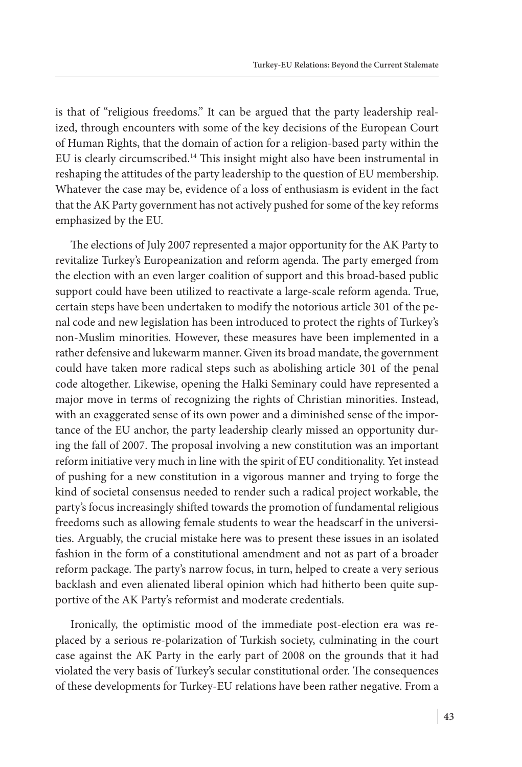is that of "religious freedoms." It can be argued that the party leadership realized, through encounters with some of the key decisions of the European Court of Human Rights, that the domain of action for a religion-based party within the EU is clearly circumscribed.14 This insight might also have been instrumental in reshaping the attitudes of the party leadership to the question of EU membership. Whatever the case may be, evidence of a loss of enthusiasm is evident in the fact that the AK Party government has not actively pushed for some of the key reforms emphasized by the EU.

The elections of July 2007 represented a major opportunity for the AK Party to revitalize Turkey's Europeanization and reform agenda. The party emerged from the election with an even larger coalition of support and this broad-based public support could have been utilized to reactivate a large-scale reform agenda. True, certain steps have been undertaken to modify the notorious article 301 of the penal code and new legislation has been introduced to protect the rights of Turkey's non-Muslim minorities. However, these measures have been implemented in a rather defensive and lukewarm manner. Given its broad mandate, the government could have taken more radical steps such as abolishing article 301 of the penal code altogether. Likewise, opening the Halki Seminary could have represented a major move in terms of recognizing the rights of Christian minorities. Instead, with an exaggerated sense of its own power and a diminished sense of the importance of the EU anchor, the party leadership clearly missed an opportunity during the fall of 2007. The proposal involving a new constitution was an important reform initiative very much in line with the spirit of EU conditionality. Yet instead of pushing for a new constitution in a vigorous manner and trying to forge the kind of societal consensus needed to render such a radical project workable, the party's focus increasingly shifted towards the promotion of fundamental religious freedoms such as allowing female students to wear the headscarf in the universities. Arguably, the crucial mistake here was to present these issues in an isolated fashion in the form of a constitutional amendment and not as part of a broader reform package. The party's narrow focus, in turn, helped to create a very serious backlash and even alienated liberal opinion which had hitherto been quite supportive of the AK Party's reformist and moderate credentials.

Ironically, the optimistic mood of the immediate post-election era was replaced by a serious re-polarization of Turkish society, culminating in the court case against the AK Party in the early part of 2008 on the grounds that it had violated the very basis of Turkey's secular constitutional order. The consequences of these developments for Turkey-EU relations have been rather negative. From a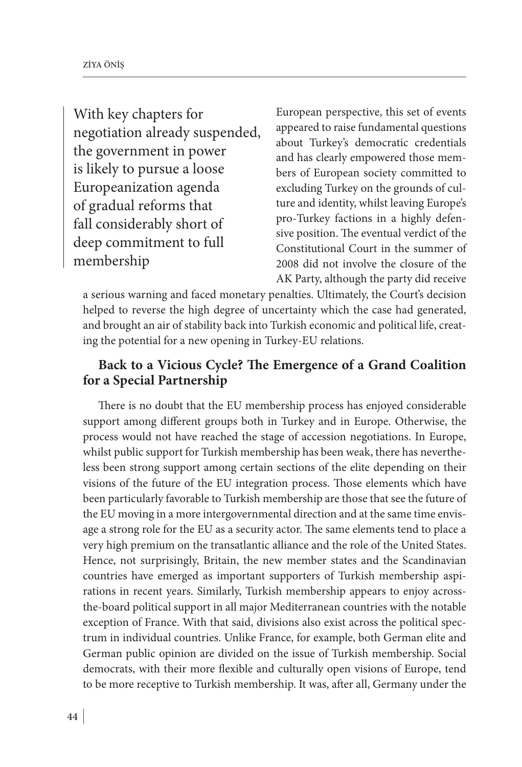With key chapters for negotiation already suspended, the government in power is likely to pursue a loose Europeanization agenda of gradual reforms that fall considerably short of deep commitment to full membership

European perspective, this set of events appeared to raise fundamental questions about Turkey's democratic credentials and has clearly empowered those members of European society committed to excluding Turkey on the grounds of culture and identity, whilst leaving Europe's pro-Turkey factions in a highly defensive position. The eventual verdict of the Constitutional Court in the summer of 2008 did not involve the closure of the AK Party, although the party did receive

a serious warning and faced monetary penalties. Ultimately, the Court's decision helped to reverse the high degree of uncertainty which the case had generated, and brought an air of stability back into Turkish economic and political life, creating the potential for a new opening in Turkey-EU relations.

### **Back to a Vicious Cycle? The Emergence of a Grand Coalition for a Special Partnership**

There is no doubt that the EU membership process has enjoyed considerable support among different groups both in Turkey and in Europe. Otherwise, the process would not have reached the stage of accession negotiations. In Europe, whilst public support for Turkish membership has been weak, there has nevertheless been strong support among certain sections of the elite depending on their visions of the future of the EU integration process. Those elements which have been particularly favorable to Turkish membership are those that see the future of the EU moving in a more intergovernmental direction and at the same time envisage a strong role for the EU as a security actor. The same elements tend to place a very high premium on the transatlantic alliance and the role of the United States. Hence, not surprisingly, Britain, the new member states and the Scandinavian countries have emerged as important supporters of Turkish membership aspirations in recent years. Similarly, Turkish membership appears to enjoy acrossthe-board political support in all major Mediterranean countries with the notable exception of France. With that said, divisions also exist across the political spectrum in individual countries. Unlike France, for example, both German elite and German public opinion are divided on the issue of Turkish membership. Social democrats, with their more flexible and culturally open visions of Europe, tend to be more receptive to Turkish membership. It was, after all, Germany under the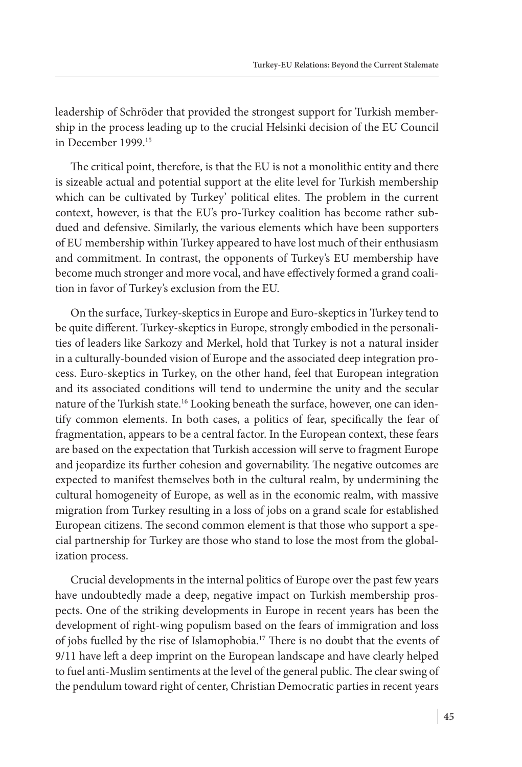leadership of Schröder that provided the strongest support for Turkish membership in the process leading up to the crucial Helsinki decision of the EU Council in December 1999.15

The critical point, therefore, is that the EU is not a monolithic entity and there is sizeable actual and potential support at the elite level for Turkish membership which can be cultivated by Turkey' political elites. The problem in the current context, however, is that the EU's pro-Turkey coalition has become rather subdued and defensive. Similarly, the various elements which have been supporters of EU membership within Turkey appeared to have lost much of their enthusiasm and commitment. In contrast, the opponents of Turkey's EU membership have become much stronger and more vocal, and have effectively formed a grand coalition in favor of Turkey's exclusion from the EU.

On the surface, Turkey-skeptics in Europe and Euro-skeptics in Turkey tend to be quite different. Turkey-skeptics in Europe, strongly embodied in the personalities of leaders like Sarkozy and Merkel, hold that Turkey is not a natural insider in a culturally-bounded vision of Europe and the associated deep integration process. Euro-skeptics in Turkey, on the other hand, feel that European integration and its associated conditions will tend to undermine the unity and the secular nature of the Turkish state.<sup>16</sup> Looking beneath the surface, however, one can identify common elements. In both cases, a politics of fear, specifically the fear of fragmentation, appears to be a central factor. In the European context, these fears are based on the expectation that Turkish accession will serve to fragment Europe and jeopardize its further cohesion and governability. The negative outcomes are expected to manifest themselves both in the cultural realm, by undermining the cultural homogeneity of Europe, as well as in the economic realm, with massive migration from Turkey resulting in a loss of jobs on a grand scale for established European citizens. The second common element is that those who support a special partnership for Turkey are those who stand to lose the most from the globalization process.

Crucial developments in the internal politics of Europe over the past few years have undoubtedly made a deep, negative impact on Turkish membership prospects. One of the striking developments in Europe in recent years has been the development of right-wing populism based on the fears of immigration and loss of jobs fuelled by the rise of Islamophobia.17 There is no doubt that the events of 9/11 have left a deep imprint on the European landscape and have clearly helped to fuel anti-Muslim sentiments at the level of the general public. The clear swing of the pendulum toward right of center, Christian Democratic parties in recent years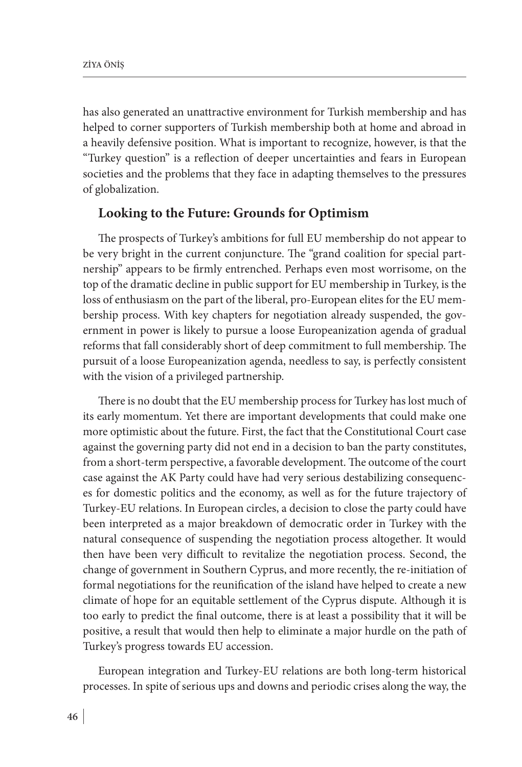has also generated an unattractive environment for Turkish membership and has helped to corner supporters of Turkish membership both at home and abroad in a heavily defensive position. What is important to recognize, however, is that the "Turkey question" is a reflection of deeper uncertainties and fears in European societies and the problems that they face in adapting themselves to the pressures of globalization.

#### **Looking to the Future: Grounds for Optimism**

The prospects of Turkey's ambitions for full EU membership do not appear to be very bright in the current conjuncture. The "grand coalition for special partnership" appears to be firmly entrenched. Perhaps even most worrisome, on the top of the dramatic decline in public support for EU membership in Turkey, is the loss of enthusiasm on the part of the liberal, pro-European elites for the EU membership process. With key chapters for negotiation already suspended, the government in power is likely to pursue a loose Europeanization agenda of gradual reforms that fall considerably short of deep commitment to full membership. The pursuit of a loose Europeanization agenda, needless to say, is perfectly consistent with the vision of a privileged partnership.

There is no doubt that the EU membership process for Turkey has lost much of its early momentum. Yet there are important developments that could make one more optimistic about the future. First, the fact that the Constitutional Court case against the governing party did not end in a decision to ban the party constitutes, from a short-term perspective, a favorable development. The outcome of the court case against the AK Party could have had very serious destabilizing consequences for domestic politics and the economy, as well as for the future trajectory of Turkey-EU relations. In European circles, a decision to close the party could have been interpreted as a major breakdown of democratic order in Turkey with the natural consequence of suspending the negotiation process altogether. It would then have been very difficult to revitalize the negotiation process. Second, the change of government in Southern Cyprus, and more recently, the re-initiation of formal negotiations for the reunification of the island have helped to create a new climate of hope for an equitable settlement of the Cyprus dispute. Although it is too early to predict the final outcome, there is at least a possibility that it will be positive, a result that would then help to eliminate a major hurdle on the path of Turkey's progress towards EU accession.

European integration and Turkey-EU relations are both long-term historical processes. In spite of serious ups and downs and periodic crises along the way, the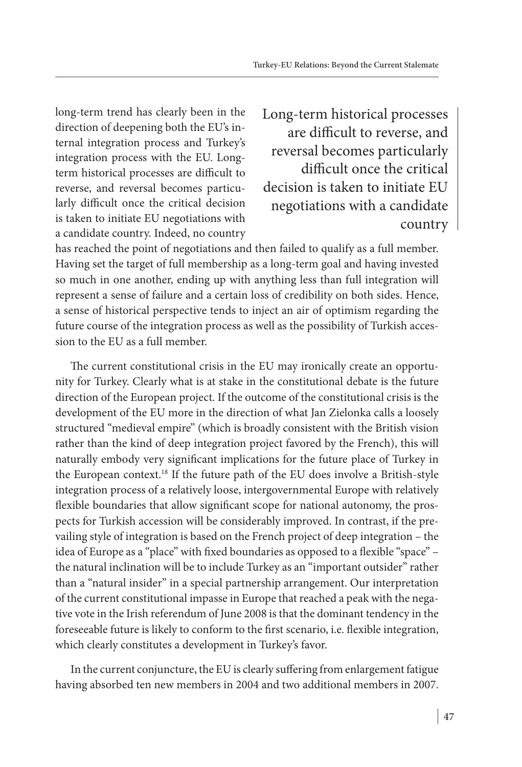long-term trend has clearly been in the direction of deepening both the EU's internal integration process and Turkey's integration process with the EU. Longterm historical processes are difficult to reverse, and reversal becomes particularly difficult once the critical decision is taken to initiate EU negotiations with a candidate country. Indeed, no country Long-term historical processes are difficult to reverse, and reversal becomes particularly difficult once the critical decision is taken to initiate EU negotiations with a candidate country

has reached the point of negotiations and then failed to qualify as a full member. Having set the target of full membership as a long-term goal and having invested so much in one another, ending up with anything less than full integration will represent a sense of failure and a certain loss of credibility on both sides. Hence, a sense of historical perspective tends to inject an air of optimism regarding the future course of the integration process as well as the possibility of Turkish accession to the EU as a full member.

The current constitutional crisis in the EU may ironically create an opportunity for Turkey. Clearly what is at stake in the constitutional debate is the future direction of the European project. If the outcome of the constitutional crisis is the development of the EU more in the direction of what Jan Zielonka calls a loosely structured "medieval empire" (which is broadly consistent with the British vision rather than the kind of deep integration project favored by the French), this will naturally embody very significant implications for the future place of Turkey in the European context.18 If the future path of the EU does involve a British-style integration process of a relatively loose, intergovernmental Europe with relatively flexible boundaries that allow significant scope for national autonomy, the prospects for Turkish accession will be considerably improved. In contrast, if the prevailing style of integration is based on the French project of deep integration – the idea of Europe as a "place" with fixed boundaries as opposed to a flexible "space" – the natural inclination will be to include Turkey as an "important outsider" rather than a "natural insider" in a special partnership arrangement. Our interpretation of the current constitutional impasse in Europe that reached a peak with the negative vote in the Irish referendum of June 2008 is that the dominant tendency in the foreseeable future is likely to conform to the first scenario, i.e. flexible integration, which clearly constitutes a development in Turkey's favor.

In the current conjuncture, the EU is clearly suffering from enlargement fatigue having absorbed ten new members in 2004 and two additional members in 2007.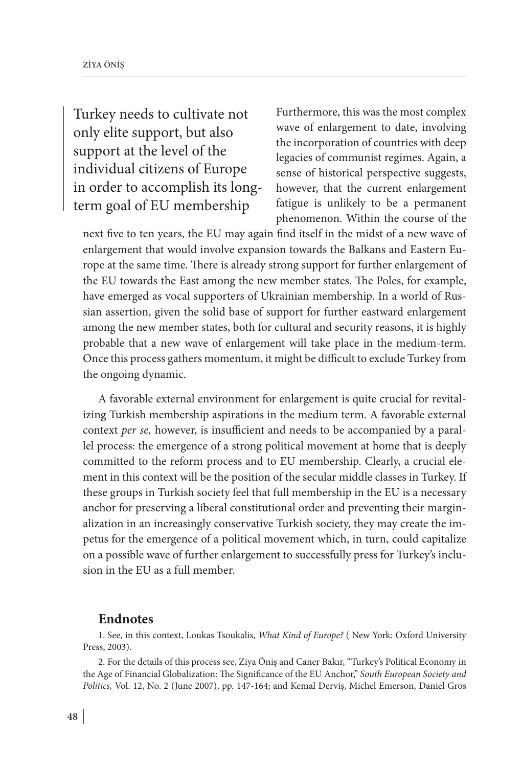Turkey needs to cultivate not only elite support, but also support at the level of the individual citizens of Europe in order to accomplish its longterm goal of EU membership

Furthermore, this was the most complex wave of enlargement to date, involving the incorporation of countries with deep legacies of communist regimes. Again, a sense of historical perspective suggests, however, that the current enlargement fatigue is unlikely to be a permanent phenomenon. Within the course of the

next five to ten years, the EU may again find itself in the midst of a new wave of enlargement that would involve expansion towards the Balkans and Eastern Europe at the same time. There is already strong support for further enlargement of the EU towards the East among the new member states. The Poles, for example, have emerged as vocal supporters of Ukrainian membership. In a world of Russian assertion, given the solid base of support for further eastward enlargement among the new member states, both for cultural and security reasons, it is highly probable that a new wave of enlargement will take place in the medium-term. Once this process gathers momentum, it might be difficult to exclude Turkey from the ongoing dynamic.

A favorable external environment for enlargement is quite crucial for revitalizing Turkish membership aspirations in the medium term. A favorable external context *per se,* however, is insufficient and needs to be accompanied by a parallel process: the emergence of a strong political movement at home that is deeply committed to the reform process and to EU membership. Clearly, a crucial element in this context will be the position of the secular middle classes in Turkey. If these groups in Turkish society feel that full membership in the EU is a necessary anchor for preserving a liberal constitutional order and preventing their marginalization in an increasingly conservative Turkish society, they may create the impetus for the emergence of a political movement which, in turn, could capitalize on a possible wave of further enlargement to successfully press for Turkey's inclusion in the EU as a full member.

#### **Endnotes**

1. See, in this context, Loukas Tsoukalis, *What Kind of Europe?* ( New York: Oxford University Press, 2003).

2. For the details of this process see, Ziya Öniş and Caner Bakır, "Turkey's Political Economy in the Age of Financial Globalization: The Significance of the EU Anchor," *South European Society and Politics,* Vol. 12, No. 2 (June 2007), pp. 147-164; and Kemal Derviş, Michel Emerson, Daniel Gros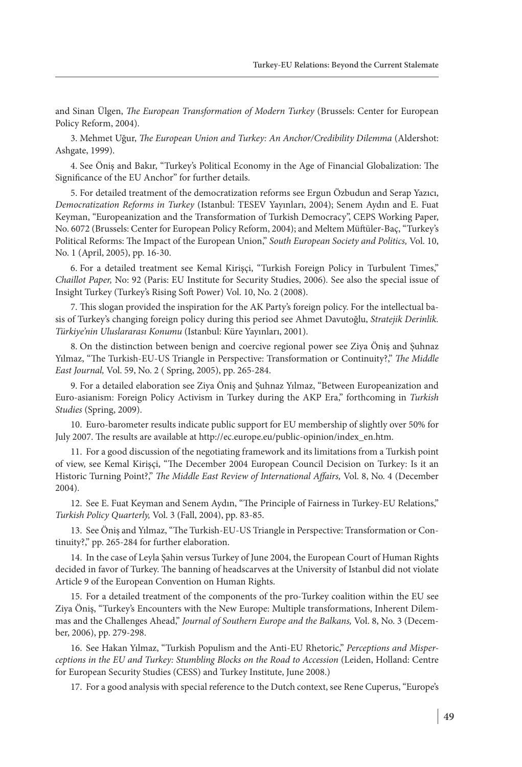and Sinan Ülgen, *The European Transformation of Modern Turkey* (Brussels: Center for European Policy Reform, 2004).

3. Mehmet Uğur, *The European Union and Turkey: An Anchor/Credibility Dilemma* (Aldershot: Ashgate, 1999).

4. See Öniş and Bakır, "Turkey's Political Economy in the Age of Financial Globalization: The Significance of the EU Anchor" for further details.

5. For detailed treatment of the democratization reforms see Ergun Özbudun and Serap Yazıcı, *Democratization Reforms in Turkey* (Istanbul: TESEV Yayınları, 2004); Senem Aydın and E. Fuat Keyman, "Europeanization and the Transformation of Turkish Democracy", CEPS Working Paper, No. 6072 (Brussels: Center for European Policy Reform, 2004); and Meltem Müftüler-Baç, "Turkey's Political Reforms: The Impact of the European Union," *South European Society and Politics,* Vol. 10, No. 1 (April, 2005), pp. 16-30.

6. For a detailed treatment see Kemal Kirişçi, "Turkish Foreign Policy in Turbulent Times," *Chaillot Paper,* No: 92 (Paris: EU Institute for Security Studies, 2006)*.* See also the special issue of Insight Turkey (Turkey's Rising Soft Power) Vol. 10, No. 2 (2008).

7. This slogan provided the inspiration for the AK Party's foreign policy. For the intellectual basis of Turkey's changing foreign policy during this period see Ahmet Davutoğlu, *Stratejik Derinlik. Türkiye'nin Uluslararası Konumu* (Istanbul: Küre Yayınları, 2001).

8. On the distinction between benign and coercive regional power see Ziya Öniş and Şuhnaz Yılmaz, "The Turkish-EU-US Triangle in Perspective: Transformation or Continuity?," *The Middle East Journal,* Vol. 59, No. 2 ( Spring, 2005), pp. 265-284.

9. For a detailed elaboration see Ziya Öniş and Şuhnaz Yılmaz, "Between Europeanization and Euro-asianism: Foreign Policy Activism in Turkey during the AKP Era," forthcoming in *Turkish Studies* (Spring, 2009).

10. Euro-barometer results indicate public support for EU membership of slightly over 50% for July 2007. The results are available at http://ec.europe.eu/public-opinion/index\_en.htm.

11. For a good discussion of the negotiating framework and its limitations from a Turkish point of view, see Kemal Kirişçi, "The December 2004 European Council Decision on Turkey: Is it an Historic Turning Point?," *The Middle East Review of International Affairs,* Vol. 8, No. 4 (December 2004).

12. See E. Fuat Keyman and Senem Aydın, "The Principle of Fairness in Turkey-EU Relations," *Turkish Policy Quarterly,* Vol. 3 (Fall, 2004), pp. 83-85.

13. See Öniş and Yılmaz, "The Turkish-EU-US Triangle in Perspective: Transformation or Continuity?," pp. 265-284 for further elaboration.

14. In the case of Leyla Şahin versus Turkey of June 2004, the European Court of Human Rights decided in favor of Turkey. The banning of headscarves at the University of Istanbul did not violate Article 9 of the European Convention on Human Rights.

15. For a detailed treatment of the components of the pro-Turkey coalition within the EU see Ziya Öniş, "Turkey's Encounters with the New Europe: Multiple transformations, Inherent Dilemmas and the Challenges Ahead," *Journal of Southern Europe and the Balkans,* Vol. 8, No. 3 (December, 2006), pp. 279-298.

16. See Hakan Yılmaz, "Turkish Populism and the Anti-EU Rhetoric," *Perceptions and Misperceptions in the EU and Turkey: Stumbling Blocks on the Road to Accession* (Leiden, Holland: Centre for European Security Studies (CESS) and Turkey Institute, June 2008.)

17. For a good analysis with special reference to the Dutch context, see Rene Cuperus, "Europe's